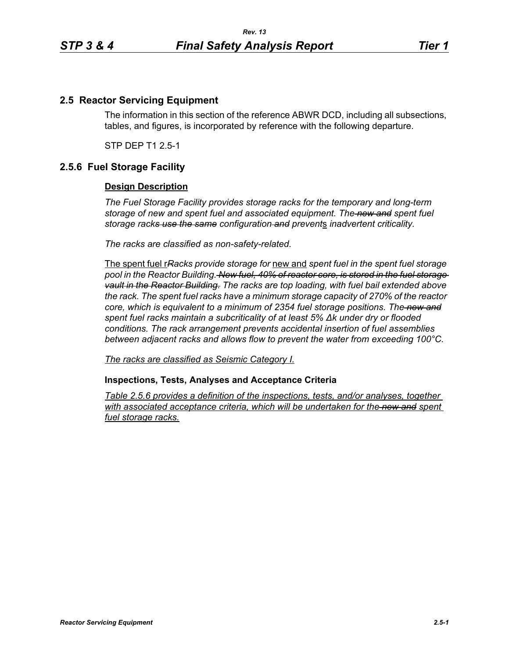## **2.5 Reactor Servicing Equipment**

The information in this section of the reference ABWR DCD, including all subsections, tables, and figures, is incorporated by reference with the following departure.

STP DEP T1 2.5-1

## **2.5.6 Fuel Storage Facility**

## **Design Description**

*The Fuel Storage Facility provides storage racks for the temporary and long-term storage of new and spent fuel and associated equipment. The new and spent fuel storage racks use the same configuration and prevent*s *inadvertent criticality.*

*The racks are classified as non-safety-related.*

The spent fuel r*Racks provide storage for* new and *spent fuel in the spent fuel storage pool in the Reactor Building. New fuel, 40% of reactor core, is stored in the fuel storage vault in the Reactor Building. The racks are top loading, with fuel bail extended above the rack. The spent fuel racks have a minimum storage capacity of 270% of the reactor core, which is equivalent to a minimum of 2354 fuel storage positions. The new and spent fuel racks maintain a subcriticality of at least 5% ∆k under dry or flooded conditions. The rack arrangement prevents accidental insertion of fuel assemblies between adjacent racks and allows flow to prevent the water from exceeding 100°C.*

*The racks are classified as Seismic Category I.*

**Inspections, Tests, Analyses and Acceptance Criteria**

*Table 2.5.6 provides a definition of the inspections, tests, and/or analyses, together*  with associated acceptance criteria, which will be undertaken for the new and spent *fuel storage racks.*